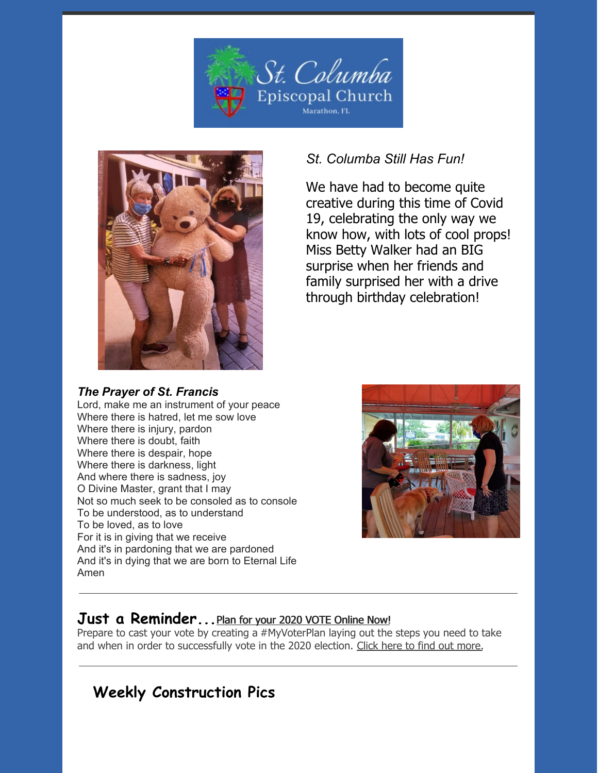



## *The Prayer of St. Francis*

## *St. Columba Still Has Fun!*

We have had to become quite creative during this time of Covid 19, celebrating the only way we know how, with lots of cool props! Miss Betty Walker had an BIG surprise when her friends and family surprised her with a drive through birthday celebration!

Lord, make me an instrument of your peace Where there is hatred, let me sow love Where there is injury, pardon Where there is doubt, faith Where there is despair, hope Where there is darkness, light And where there is sadness, joy O Divine Master, grant that I may Not so much seek to be consoled as to console To be understood, as to understand To be loved, as to love For it is in giving that we receive And it's in pardoning that we are pardoned And it's in dying that we are born to Eternal Life Amen



## **Just a Reminder...**Plan for your 2020 VOTE [Online](https://episcopalchurch.org/posts/ogr/plan-your-vote) Now!

Prepare to cast your vote by creating a [#MyVoterPlan](https://www.nbcnews.com/specials/plan-your-vote-state-by-state-guide-voting-by-mail-early-in-person-voting-election/) laying out the steps you need to take and when in order to successfully vote in the 2020 election. Click here to find out [more](https://www.nbcnews.com/specials/plan-your-vote-state-by-state-guide-voting-by-mail-early-in-person-voting-election/).

# **Weekly Construction Pics**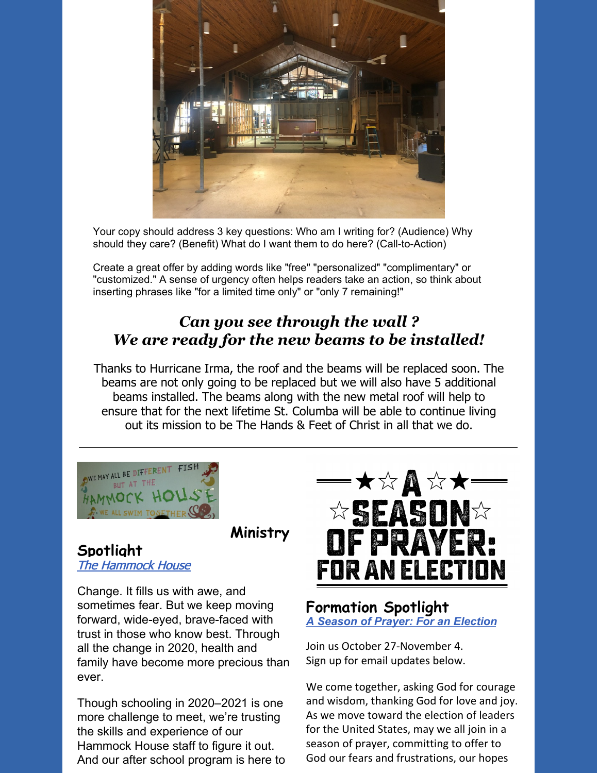

Your copy should address 3 key questions: Who am I writing for? (Audience) Why should they care? (Benefit) What do I want them to do here? (Call-to-Action)

Create a great offer by adding words like "free" "personalized" "complimentary" or "customized." A sense of urgency often helps readers take an action, so think about inserting phrases like "for a limited time only" or "only 7 remaining!"

## *Can you see through the wall ? We are ready for the new beams to be installed!*

Thanks to Hurricane Irma, the roof and the beams will be replaced soon. The beams are not only going to be replaced but we will also have 5 additional beams installed. The beams along with the new metal roof will help to ensure that for the next lifetime St. Columba will be able to continue living out its mission to be The Hands & Feet of Christ in all that we do.



**Ministry**

#### **Spotlight** The [Hammock](https://www.facebook.com/thehammockhouse) House

Change. It fills us with awe, and sometimes fear. But we keep moving forward, wide-eyed, brave-faced with trust in those who know best. Through all the change in 2020, health and family have become more precious than ever.

Though schooling in 2020–2021 is one more challenge to meet, we're trusting the skills and experience of our Hammock House staff to figure it out. And our after school program is here to



### **Formation Spotlight** *A Season of Prayer: For an [Election](https://www.forwardmovement.org/Pages/Item/15381/Season-of-Prayer.aspx)*

Join us October 27-November 4. Sign up for email updates below.

We come together, asking God for courage and wisdom, thanking God for love and joy. As we move toward the election of leaders for the United States, may we all join in a season of prayer, committing to offer to God our fears and frustrations, our hopes